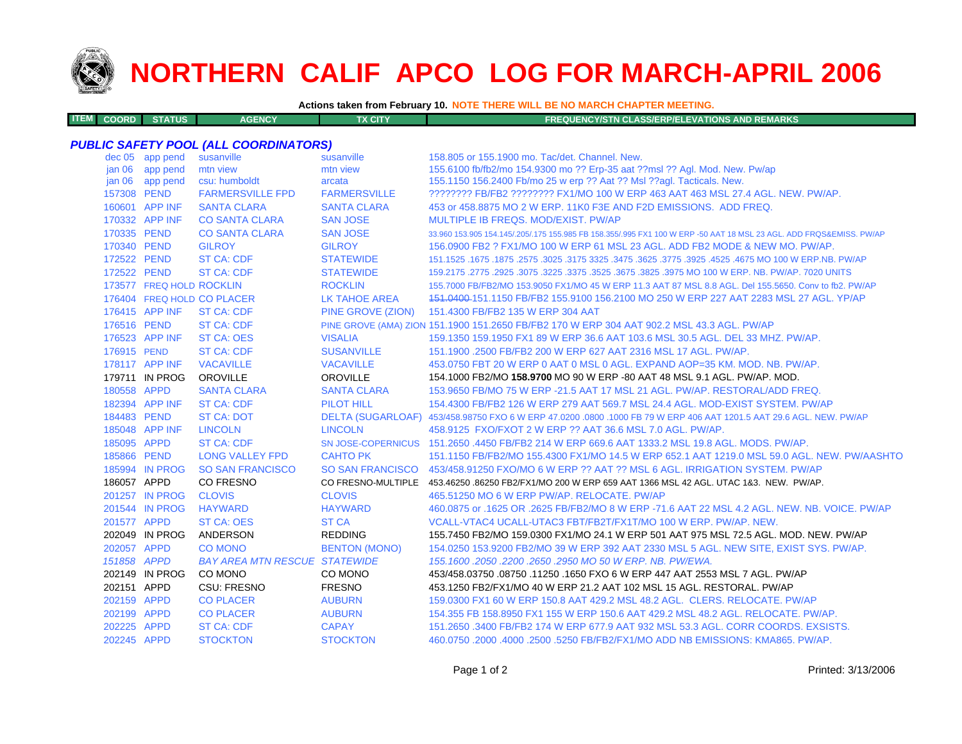

**ITEM**

# **NORTHERN CALIF APCO LOG FOR MARCH-APRIL 2006**

**Actions taken from February 10. NOTE THERE WILL BE NO MARCH CHAPTER MEETING.**

| <b>M COORD STATUS</b><br><b>FX CITY</b><br><b>AGENCY</b><br><b>FREQUENCY/STN CLASS/ERP/ELEVATIONS AND REMARKS</b> |  |
|-------------------------------------------------------------------------------------------------------------------|--|
|-------------------------------------------------------------------------------------------------------------------|--|

### *PUBLIC SAFETY POOL (ALL COORDINATORS)*

|                   | dec 05 app pend          | susanville                           | susanville           | 158.805 or 155.1900 mo. Tac/det. Channel. New.                                                                      |
|-------------------|--------------------------|--------------------------------------|----------------------|---------------------------------------------------------------------------------------------------------------------|
| jan 06            | app pend                 | mtn view                             | mtn view             | 155.6100 fb/fb2/mo 154.9300 mo ?? Erp-35 aat ??msl ?? Agl. Mod. New. Pw/ap                                          |
| jan <sub>06</sub> | app pend                 | csu: humboldt                        | arcata               | 155.1150 156.2400 Fb/mo 25 w erp ?? Aat ?? Msl ??aql. Tacticals. New.                                               |
| 157308 PEND       |                          | <b>FARMERSVILLE FPD</b>              | <b>FARMERSVILLE</b>  | ???????? FB/FB2 ???????? FX1/MO 100 W ERP 463 AAT 463 MSL 27.4 AGL, NEW, PW/AP,                                     |
|                   | 160601 APP INF           | <b>SANTA CLARA</b>                   | <b>SANTA CLARA</b>   | 453 or 458,8875 MO 2 W ERP, 11K0 F3E AND F2D EMISSIONS. ADD FREQ.                                                   |
|                   | 170332 APP INF           | <b>CO SANTA CLARA</b>                | <b>SAN JOSE</b>      | MULTIPLE IB FREQS, MOD/EXIST, PW/AP                                                                                 |
| 170335 PEND       |                          | <b>CO SANTA CLARA</b>                | <b>SAN JOSE</b>      | 33.960 153.905 154.145/.205/.175 155.985 FB 158.355/.995 FX1 100 W ERP -50 AAT 18 MSL 23 AGL. ADD FRQS&EMISS, PW/AP |
| 170340 PEND       |                          | <b>GILROY</b>                        | <b>GILROY</b>        | 156,0900 FB2 ? FX1/MO 100 W ERP 61 MSL 23 AGL, ADD FB2 MODE & NEW MO, PW/AP.                                        |
| 172522 PEND       |                          | <b>ST CA: CDF</b>                    | <b>STATEWIDE</b>     | 151.1525 .1675 MO 100 W ERP.NB. PW/AP .2575 .3625 .3475 .3625 .3475 .3625 .3175 .3025 .1675 .1675 .1675 .1675       |
| 172522 PEND       |                          | <b>ST CA: CDF</b>                    | <b>STATEWIDE</b>     | 159.2175 .2775 .2925 .3075 .3225 .3375 .3525 .3675 .3825 .3975 MO 100 W ERP. NB. PW/AP. 7020 UNITS                  |
|                   | 173577 FREQ HOLD ROCKLIN |                                      | <b>ROCKLIN</b>       | 155.7000 FB/FB2/MO 153.9050 FX1/MO 45 W ERP 11.3 AAT 87 MSL 8.8 AGL. Del 155.5650. Conv to fb2. PW/AP               |
|                   |                          | 176404 FREQ HOLD CO PLACER           | <b>LK TAHOE AREA</b> | 151.0400-151.1150 FB/FB2 155.9100 156.2100 MO 250 W ERP 227 AAT 2283 MSL 27 AGL. YP/AP                              |
|                   | 176415 APP INF           | <b>ST CA: CDF</b>                    | PINE GROVE (ZION)    | 151.4300 FB/FB2 135 W ERP 304 AAT                                                                                   |
| 176516 PEND       |                          | <b>ST CA: CDF</b>                    |                      | PINE GROVE (AMA) ZION 151.1900 151.2650 FB/FB2 170 W ERP 304 AAT 902.2 MSL 43.3 AGL. PW/AP                          |
|                   | 176523 APP INF           | <b>ST CA: OES</b>                    | <b>VISALIA</b>       | 159.1350 159.1950 FX1 89 W ERP 36.6 AAT 103.6 MSL 30.5 AGL. DEL 33 MHZ. PW/AP.                                      |
| 176915 PEND       |                          | <b>ST CA: CDF</b>                    | <b>SUSANVILLE</b>    | 151.1900 .2500 FB/FB2 200 W ERP 627 AAT 2316 MSL 17 AGL, PW/AP.                                                     |
|                   | 178117 APP INF           | <b>VACAVILLE</b>                     | <b>VACAVILLE</b>     | 453.0750 FBT 20 W ERP 0 AAT 0 MSL 0 AGL, EXPAND AOP=35 KM, MOD, NB, PW/AP,                                          |
|                   | 179711 IN PROG           | <b>OROVILLE</b>                      | <b>OROVILLE</b>      | 154.1000 FB2/MO 158.9700 MO 90 W ERP -80 AAT 48 MSL 9.1 AGL. PW/AP. MOD.                                            |
| 180558 APPD       |                          | <b>SANTA CLARA</b>                   | <b>SANTA CLARA</b>   | 153,9650 FB/MO 75 W ERP -21.5 AAT 17 MSL 21 AGL, PW/AP, RESTORAL/ADD FREQ.                                          |
|                   | 182394 APP INF           | <b>ST CA: CDF</b>                    | <b>PILOT HILL</b>    | 154,4300 FB/FB2 126 W ERP 279 AAT 569.7 MSL 24.4 AGL, MOD-EXIST SYSTEM, PW/AP                                       |
| 184483 PEND       |                          | <b>ST CA: DOT</b>                    |                      | DELTA (SUGARLOAF) 453/458.98750 FXO 6 W ERP 47.0200 .0800 .1000 FB 79 W ERP 406 AAT 1201.5 AAT 29.6 AGL. NEW. PW/AP |
|                   | 185048 APP INF           | <b>LINCOLN</b>                       | <b>LINCOLN</b>       | 458.9125 FXO/FXOT 2 W ERP ?? AAT 36.6 MSL 7.0 AGL, PW/AP.                                                           |
| 185095 APPD       |                          | <b>ST CA: CDF</b>                    |                      | SN JOSE-COPERNICUS 151.2650 .4450 FB/FB2 214 W ERP 669.6 AAT 1333.2 MSL 19.8 AGL. MODS. PW/AP.                      |
| 185866 PEND       |                          | <b>LONG VALLEY FPD</b>               | <b>CAHTO PK</b>      | 151.1150 FB/FB2/MO 155.4300 FX1/MO 14.5 W ERP 652.1 AAT 1219.0 MSL 59.0 AGL. NEW. PW/AASHTO                         |
|                   | 185994 IN PROG           | <b>SO SAN FRANCISCO</b>              |                      | SO SAN FRANCISCO 453/458.91250 FXO/MO 6 W ERP ?? AAT ?? MSL 6 AGL. IRRIGATION SYSTEM. PW/AP                         |
| 186057 APPD       |                          | <b>CO FRESNO</b>                     |                      | CO FRESNO-MULTIPLE 453.46250.86250 FB2/FX1/MO 200 W ERP 659 AAT 1366 MSL 42 AGL. UTAC 1&3. NEW. PW/AP.              |
|                   | 201257 IN PROG           | <b>CLOVIS</b>                        | <b>CLOVIS</b>        | 465.51250 MO 6 W ERP PW/AP, RELOCATE, PW/AP                                                                         |
|                   | 201544 IN PROG           | <b>HAYWARD</b>                       | <b>HAYWARD</b>       | 460.0875 or .1625 OR .2625 FB/FB2/MO 8 W ERP -71.6 AAT 22 MSL 4.2 AGL, NEW, NB, VOICE, PW/AP                        |
| 201577 APPD       |                          | <b>ST CA: OES</b>                    | <b>ST CA</b>         | VCALL-VTAC4 UCALL-UTAC3 FBT/FB2T/FX1T/MO 100 W ERP. PW/AP. NEW.                                                     |
|                   | 202049 IN PROG           | ANDERSON                             | <b>REDDING</b>       | 155.7450 FB2/MO 159.0300 FX1/MO 24.1 W ERP 501 AAT 975 MSL 72.5 AGL. MOD. NEW. PW/AP                                |
| 202057 APPD       |                          | <b>CO MONO</b>                       | <b>BENTON (MONO)</b> | 154.0250 153.9200 FB2/MO 39 W ERP 392 AAT 2330 MSL 5 AGL. NEW SITE, EXIST SYS. PW/AP.                               |
| 151858 APPD       |                          | <b>BAY AREA MTN RESCUE STATEWIDE</b> |                      | 155, 1600, 2050, 2200, 2650, 2950 MO 50 W ERP, NB, PW/EWA,                                                          |
|                   | 202149 IN PROG           | CO MONO                              | CO MONO              | 453/458.03750 .08750 .11250 .1650 FXO 6 W ERP 447 AAT 2553 MSL 7 AGL. PW/AP                                         |
| 202151 APPD       |                          | <b>CSU: FRESNO</b>                   | <b>FRESNO</b>        | 453.1250 FB2/FX1/MO 40 W ERP 21.2 AAT 102 MSL 15 AGL. RESTORAL. PW/AP                                               |
| 202159 APPD       |                          | <b>CO PLACER</b>                     | <b>AUBURN</b>        | 159,0300 FX1 60 W ERP 150.8 AAT 429.2 MSL 48.2 AGL. CLERS. RELOCATE. PW/AP                                          |
| 202199 APPD       |                          | <b>CO PLACER</b>                     | <b>AUBURN</b>        | 154,355 FB 158,8950 FX1 155 W ERP 150.6 AAT 429.2 MSL 48.2 AGL, RELOCATE, PW/AP.                                    |
| 202225 APPD       |                          | <b>ST CA: CDF</b>                    | <b>CAPAY</b>         | 151.2650 .3400 FB/FB2 174 W ERP 677.9 AAT 932 MSL 53.3 AGL, CORR COORDS, EXSISTS.                                   |
| 202245 APPD       |                          | <b>STOCKTON</b>                      | <b>STOCKTON</b>      | 460.0750 .2000 .4000 .2500 .5250 FB/FB2/FX1/MO ADD NB EMISSIONS: KMA865. PW/AP.                                     |
|                   |                          |                                      |                      |                                                                                                                     |